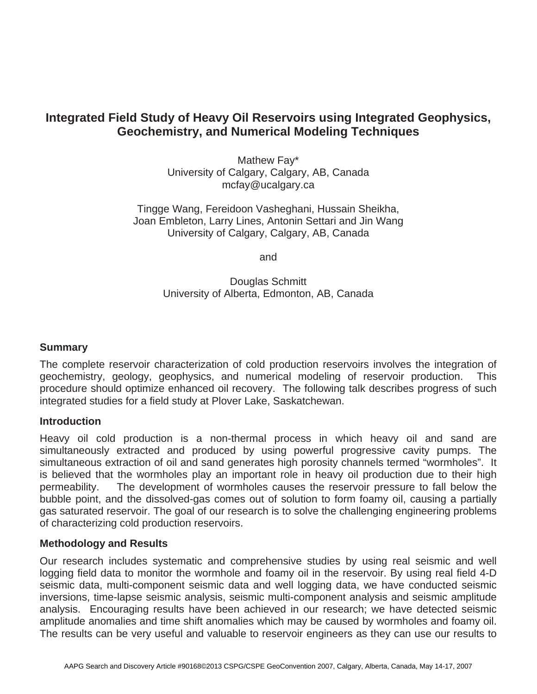# **Integrated Field Study of Heavy Oil Reservoirs using Integrated Geophysics, Geochemistry, and Numerical Modeling Techniques**

Mathew Fay\* University of Calgary, Calgary, AB, Canada mcfay@ucalgary.ca

Tingge Wang, Fereidoon Vasheghani, Hussain Sheikha, Joan Embleton, Larry Lines, Antonin Settari and Jin Wang University of Calgary, Calgary, AB, Canada

and

Douglas Schmitt University of Alberta, Edmonton, AB, Canada

# **Summary**

The complete reservoir characterization of cold production reservoirs involves the integration of geochemistry, geology, geophysics, and numerical modeling of reservoir production. This procedure should optimize enhanced oil recovery. The following talk describes progress of such integrated studies for a field study at Plover Lake, Saskatchewan.

### **Introduction**

Heavy oil cold production is a non-thermal process in which heavy oil and sand are simultaneously extracted and produced by using powerful progressive cavity pumps. The simultaneous extraction of oil and sand generates high porosity channels termed "wormholes". It is believed that the wormholes play an important role in heavy oil production due to their high permeability. The development of wormholes causes the reservoir pressure to fall below the bubble point, and the dissolved-gas comes out of solution to form foamy oil, causing a partially gas saturated reservoir. The goal of our research is to solve the challenging engineering problems of characterizing cold production reservoirs.

# **Methodology and Results**

Our research includes systematic and comprehensive studies by using real seismic and well logging field data to monitor the wormhole and foamy oil in the reservoir. By using real field 4-D seismic data, multi-component seismic data and well logging data, we have conducted seismic inversions, time-lapse seismic analysis, seismic multi-component analysis and seismic amplitude analysis. Encouraging results have been achieved in our research; we have detected seismic amplitude anomalies and time shift anomalies which may be caused by wormholes and foamy oil. The results can be very useful and valuable to reservoir engineers as they can use our results to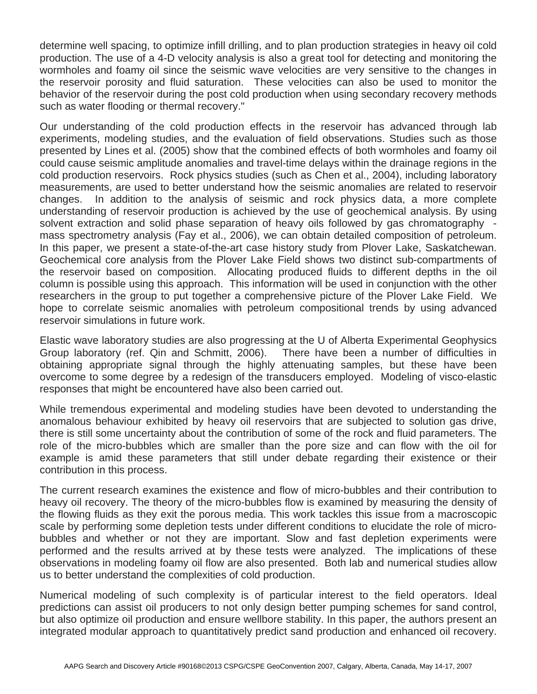determine well spacing, to optimize infill drilling, and to plan production strategies in heavy oil cold production. The use of a 4-D velocity analysis is also a great tool for detecting and monitoring the wormholes and foamy oil since the seismic wave velocities are very sensitive to the changes in the reservoir porosity and fluid saturation. These velocities can also be used to monitor the behavior of the reservoir during the post cold production when using secondary recovery methods such as water flooding or thermal recovery."

Our understanding of the cold production effects in the reservoir has advanced through lab experiments, modeling studies, and the evaluation of field observations. Studies such as those presented by Lines et al. (2005) show that the combined effects of both wormholes and foamy oil could cause seismic amplitude anomalies and travel-time delays within the drainage regions in the cold production reservoirs. Rock physics studies (such as Chen et al., 2004), including laboratory measurements, are used to better understand how the seismic anomalies are related to reservoir changes. In addition to the analysis of seismic and rock physics data, a more complete understanding of reservoir production is achieved by the use of geochemical analysis. By using solvent extraction and solid phase separation of heavy oils followed by gas chromatography mass spectrometry analysis (Fay et al., 2006), we can obtain detailed composition of petroleum. In this paper, we present a state-of-the-art case history study from Plover Lake, Saskatchewan. Geochemical core analysis from the Plover Lake Field shows two distinct sub-compartments of the reservoir based on composition. Allocating produced fluids to different depths in the oil column is possible using this approach. This information will be used in conjunction with the other researchers in the group to put together a comprehensive picture of the Plover Lake Field. We hope to correlate seismic anomalies with petroleum compositional trends by using advanced reservoir simulations in future work.

Elastic wave laboratory studies are also progressing at the U of Alberta Experimental Geophysics Group laboratory (ref. Qin and Schmitt, 2006). There have been a number of difficulties in obtaining appropriate signal through the highly attenuating samples, but these have been overcome to some degree by a redesign of the transducers employed. Modeling of visco-elastic responses that might be encountered have also been carried out.

While tremendous experimental and modeling studies have been devoted to understanding the anomalous behaviour exhibited by heavy oil reservoirs that are subjected to solution gas drive, there is still some uncertainty about the contribution of some of the rock and fluid parameters. The role of the micro-bubbles which are smaller than the pore size and can flow with the oil for example is amid these parameters that still under debate regarding their existence or their contribution in this process.

The current research examines the existence and flow of micro-bubbles and their contribution to heavy oil recovery. The theory of the micro-bubbles flow is examined by measuring the density of the flowing fluids as they exit the porous media. This work tackles this issue from a macroscopic scale by performing some depletion tests under different conditions to elucidate the role of microbubbles and whether or not they are important. Slow and fast depletion experiments were performed and the results arrived at by these tests were analyzed. The implications of these observations in modeling foamy oil flow are also presented. Both lab and numerical studies allow us to better understand the complexities of cold production.

Numerical modeling of such complexity is of particular interest to the field operators. Ideal predictions can assist oil producers to not only design better pumping schemes for sand control, but also optimize oil production and ensure wellbore stability. In this paper, the authors present an integrated modular approach to quantitatively predict sand production and enhanced oil recovery.